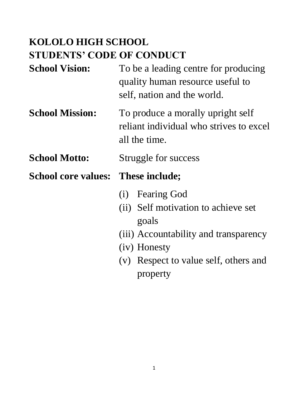# **KOLOLO HIGH SCHOOL STUDENTS' CODE OF CONDUCT**

- **School Vision:** To be a leading centre for producing quality human resource useful to self, nation and the world.
- **School Mission:** To produce a morally upright self reliant individual who strives to excel all the time.

#### **School Motto:** Struggle for success

- (i) Fearing God
- (ii) Self motivation to achieve set goals
- (iii) Accountability and transparency
- (iv) Honesty
- (v) Respect to value self, others and property

**School core values: These include;**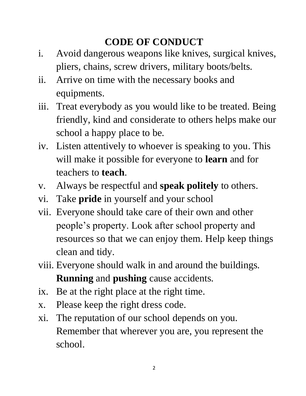## **CODE OF CONDUCT**

- i. Avoid dangerous weapons like knives, surgical knives, pliers, chains, screw drivers, military boots/belts.
- ii. Arrive on time with the necessary books and equipments.
- iii. Treat everybody as you would like to be treated. Being friendly, kind and considerate to others helps make our school a happy place to be.
- iv. Listen attentively to whoever is speaking to you. This will make it possible for everyone to **learn** and for teachers to **teach**.
- v. Always be respectful and **speak politely** to others.
- vi. Take **pride** in yourself and your school
- vii. Everyone should take care of their own and other people's property. Look after school property and resources so that we can enjoy them. Help keep things clean and tidy.
- viii. Everyone should walk in and around the buildings. **Running** and **pushing** cause accidents.
- ix. Be at the right place at the right time.
- x. Please keep the right dress code.
- xi. The reputation of our school depends on you. Remember that wherever you are, you represent the school.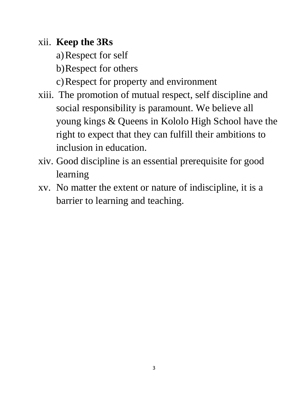### xii. **Keep the 3Rs**

- a)Respect for self
- b)Respect for others
- c)Respect for property and environment
- xiii. The promotion of mutual respect, self discipline and social responsibility is paramount. We believe all young kings & Queens in Kololo High School have the right to expect that they can fulfill their ambitions to inclusion in education.
- xiv. Good discipline is an essential prerequisite for good learning
- xv. No matter the extent or nature of indiscipline, it is a barrier to learning and teaching.